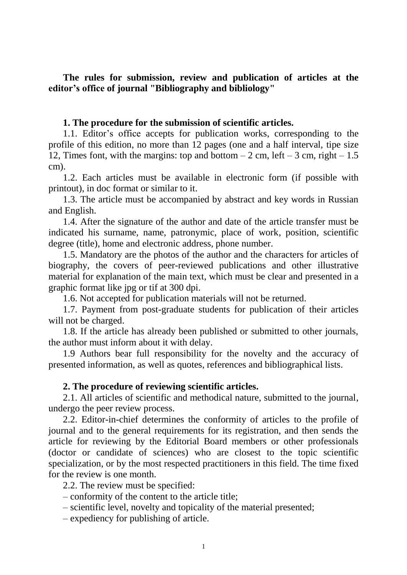**The rules for submission, review and publication of articles at the editor's office of journal "Bibliography and bibliology"**

## **1. The procedure for the submission of scientific articles.**

1.1. Editor's office accepts for publication works, corresponding to the profile of this edition, no more than 12 pages (one and a half interval, tipe size 12, Times font, with the margins: top and bottom  $-2$  cm, left  $-3$  cm, right  $-1.5$ cm).

1.2. Each articles must be available in electronic form (if possible with printout), in doc format or similar to it.

1.3. The article must be accompanied by abstract and key words in Russian and English.

1.4. After the signature of the author and date of the article transfer must be indicated his surname, name, patronymic, place of work, position, scientific degree (title), home and electronic address, phone number.

1.5. Mandatory are the photos of the author and the characters for articles of biography, the covers of peer-reviewed publications and other illustrative material for explanation of the main text, which must be clear and presented in a graphic format like jpg or tif at 300 dpi.

1.6. Not accepted for publication materials will not be returned.

1.7. Payment from post-graduate students for publication of their articles will not be charged.

1.8. If the article has already been published or submitted to other journals, the author must inform about it with delay.

1.9 Authors bear full responsibility for the novelty and the accuracy of presented information, as well as quotes, references and bibliographical lists.

## **2. The procedure of reviewing scientific articles.**

2.1. All articles of scientific and methodical nature, submitted to the journal, undergo the peer review process.

2.2. Editor-in-chief determines the conformity of articles to the profile of journal and to the general requirements for its registration, and then sends the article for reviewing by the Editorial Board members or other professionals (doctor or candidate of sciences) who are closest to the topic scientific specialization, or by the most respected practitioners in this field. The time fixed for the review is one month.

2.2. The review must be specified:

– conformity of the content to the article title;

– scientific level, novelty and topicality of the material presented;

– expediency for publishing of article.